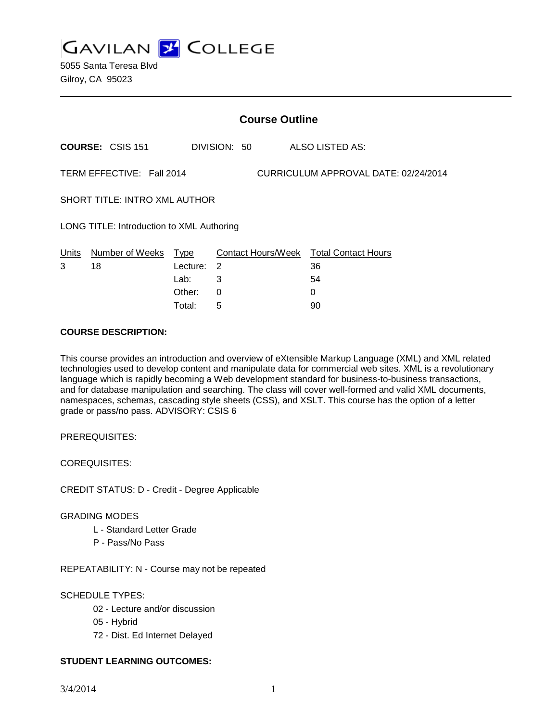**GAVILAN Z COLLEGE** 

5055 Santa Teresa Blvd Gilroy, CA 95023

|                                                                   |                            | <b>Course Outline</b> |              |  |                                              |  |
|-------------------------------------------------------------------|----------------------------|-----------------------|--------------|--|----------------------------------------------|--|
|                                                                   | <b>COURSE: CSIS 151</b>    |                       | DIVISION: 50 |  | ALSO LISTED AS:                              |  |
| TERM EFFECTIVE: Fall 2014<br>CURRICULUM APPROVAL DATE: 02/24/2014 |                            |                       |              |  |                                              |  |
| <b>SHORT TITLE: INTRO XML AUTHOR</b>                              |                            |                       |              |  |                                              |  |
| LONG TITLE: Introduction to XML Authoring                         |                            |                       |              |  |                                              |  |
| Units<br>3                                                        | Number of Weeks Type<br>18 | Lecture:              | 2            |  | Contact Hours/Week Total Contact Hours<br>36 |  |
|                                                                   |                            | Lab:                  | 3            |  | 54                                           |  |
|                                                                   |                            | Other:                | 0            |  | 0                                            |  |

Total: 5 90

### **COURSE DESCRIPTION:**

This course provides an introduction and overview of eXtensible Markup Language (XML) and XML related technologies used to develop content and manipulate data for commercial web sites. XML is a revolutionary language which is rapidly becoming a Web development standard for business-to-business transactions, and for database manipulation and searching. The class will cover well-formed and valid XML documents, namespaces, schemas, cascading style sheets (CSS), and XSLT. This course has the option of a letter grade or pass/no pass. ADVISORY: CSIS 6

PREREQUISITES:

COREQUISITES:

CREDIT STATUS: D - Credit - Degree Applicable

#### GRADING MODES

- L Standard Letter Grade
- P Pass/No Pass

REPEATABILITY: N - Course may not be repeated

### SCHEDULE TYPES:

- 02 Lecture and/or discussion
- 05 Hybrid
- 72 Dist. Ed Internet Delayed

### **STUDENT LEARNING OUTCOMES:**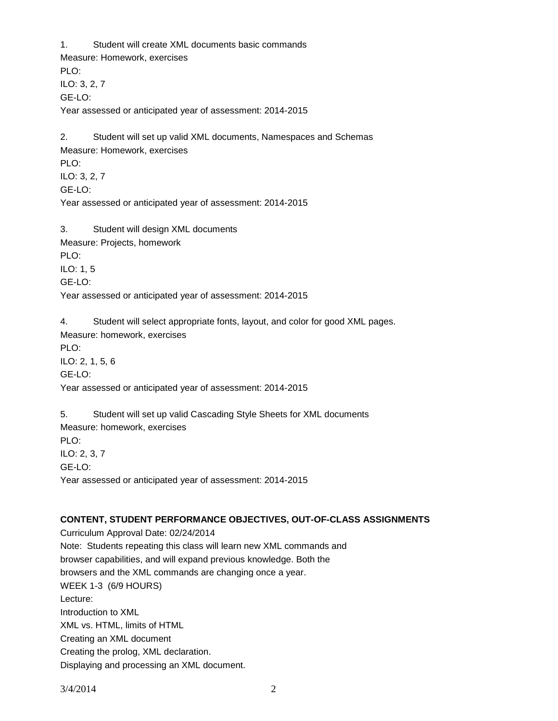1. Student will create XML documents basic commands Measure: Homework, exercises PLO: ILO: 3, 2, 7 GE-LO: Year assessed or anticipated year of assessment: 2014-2015 2. Student will set up valid XML documents, Namespaces and Schemas

Measure: Homework, exercises PLO: ILO: 3, 2, 7 GE-LO: Year assessed or anticipated year of assessment: 2014-2015

3. Student will design XML documents Measure: Projects, homework PLO: ILO: 1, 5 GE-LO: Year assessed or anticipated year of assessment: 2014-2015

4. Student will select appropriate fonts, layout, and color for good XML pages. Measure: homework, exercises PLO: ILO: 2, 1, 5, 6 GE-LO: Year assessed or anticipated year of assessment: 2014-2015

5. Student will set up valid Cascading Style Sheets for XML documents Measure: homework, exercises PLO: ILO: 2, 3, 7 GE-LO: Year assessed or anticipated year of assessment: 2014-2015

# **CONTENT, STUDENT PERFORMANCE OBJECTIVES, OUT-OF-CLASS ASSIGNMENTS**

Curriculum Approval Date: 02/24/2014 Note: Students repeating this class will learn new XML commands and browser capabilities, and will expand previous knowledge. Both the browsers and the XML commands are changing once a year. WEEK 1-3 (6/9 HOURS) Lecture: Introduction to XML XML vs. HTML, limits of HTML Creating an XML document Creating the prolog, XML declaration. Displaying and processing an XML document.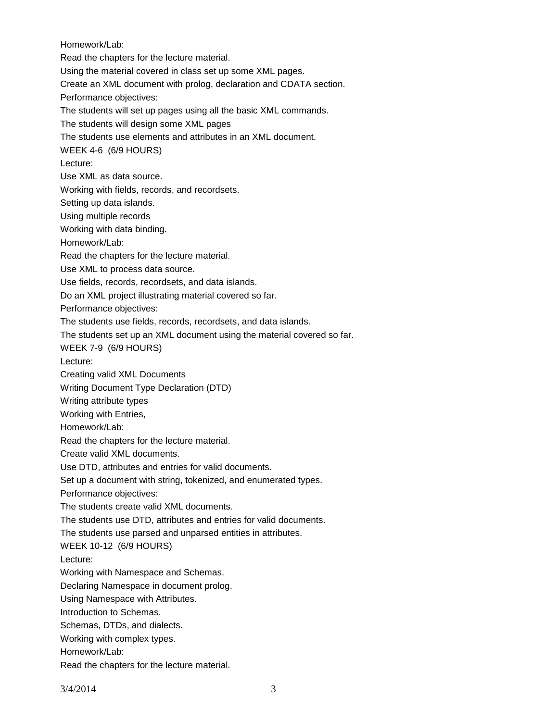Homework/Lab: Read the chapters for the lecture material. Using the material covered in class set up some XML pages. Create an XML document with prolog, declaration and CDATA section. Performance objectives: The students will set up pages using all the basic XML commands. The students will design some XML pages The students use elements and attributes in an XML document. WEEK 4-6 (6/9 HOURS) Lecture: Use XML as data source. Working with fields, records, and recordsets. Setting up data islands. Using multiple records Working with data binding. Homework/Lab: Read the chapters for the lecture material. Use XML to process data source. Use fields, records, recordsets, and data islands. Do an XML project illustrating material covered so far. Performance objectives: The students use fields, records, recordsets, and data islands. The students set up an XML document using the material covered so far. WEEK 7-9 (6/9 HOURS) Lecture: Creating valid XML Documents Writing Document Type Declaration (DTD) Writing attribute types Working with Entries, Homework/Lab: Read the chapters for the lecture material. Create valid XML documents. Use DTD, attributes and entries for valid documents. Set up a document with string, tokenized, and enumerated types. Performance objectives: The students create valid XML documents. The students use DTD, attributes and entries for valid documents. The students use parsed and unparsed entities in attributes. WEEK 10-12 (6/9 HOURS) Lecture: Working with Namespace and Schemas. Declaring Namespace in document prolog. Using Namespace with Attributes. Introduction to Schemas. Schemas, DTDs, and dialects. Working with complex types. Homework/Lab: Read the chapters for the lecture material.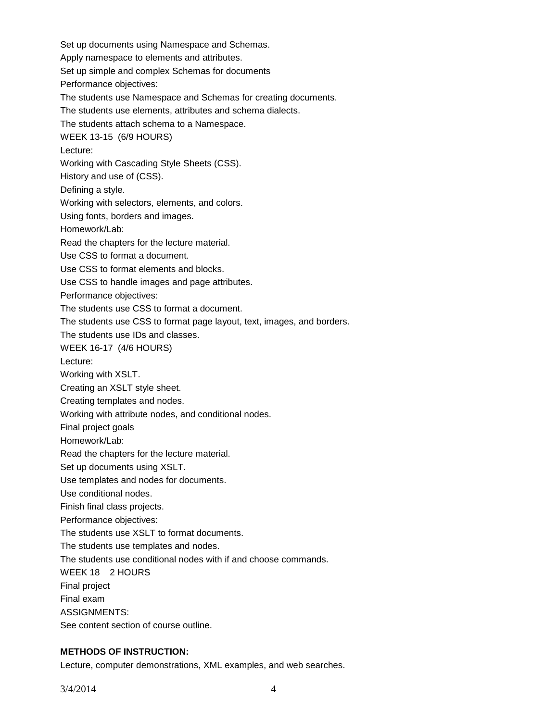Set up documents using Namespace and Schemas. Apply namespace to elements and attributes. Set up simple and complex Schemas for documents Performance objectives: The students use Namespace and Schemas for creating documents. The students use elements, attributes and schema dialects. The students attach schema to a Namespace. WEEK 13-15 (6/9 HOURS) Lecture: Working with Cascading Style Sheets (CSS). History and use of (CSS). Defining a style. Working with selectors, elements, and colors. Using fonts, borders and images. Homework/Lab: Read the chapters for the lecture material. Use CSS to format a document. Use CSS to format elements and blocks. Use CSS to handle images and page attributes. Performance objectives: The students use CSS to format a document. The students use CSS to format page layout, text, images, and borders. The students use IDs and classes. WEEK 16-17 (4/6 HOURS) Lecture: Working with XSLT. Creating an XSLT style sheet. Creating templates and nodes. Working with attribute nodes, and conditional nodes. Final project goals Homework/Lab: Read the chapters for the lecture material. Set up documents using XSLT. Use templates and nodes for documents. Use conditional nodes. Finish final class projects. Performance objectives: The students use XSLT to format documents. The students use templates and nodes. The students use conditional nodes with if and choose commands. WEEK 18 2 HOURS Final project Final exam ASSIGNMENTS: See content section of course outline.

### **METHODS OF INSTRUCTION:**

Lecture, computer demonstrations, XML examples, and web searches.

 $3/4/2014$  4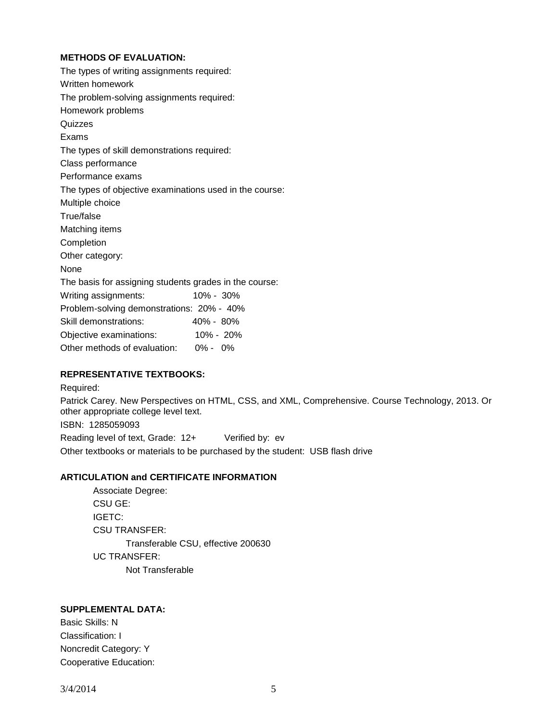### **METHODS OF EVALUATION:**

The types of writing assignments required: Written homework The problem-solving assignments required: Homework problems **Quizzes** Exams The types of skill demonstrations required: Class performance Performance exams The types of objective examinations used in the course: Multiple choice True/false Matching items Completion Other category: None The basis for assigning students grades in the course: Writing assignments: 10% - 30% Problem-solving demonstrations: 20% - 40% Skill demonstrations: 40% - 80% Objective examinations: 10% - 20% Other methods of evaluation: 0% - 0%

### **REPRESENTATIVE TEXTBOOKS:**

Required: Patrick Carey. New Perspectives on HTML, CSS, and XML, Comprehensive. Course Technology, 2013. Or other appropriate college level text. ISBN: 1285059093 Reading level of text, Grade: 12+ Verified by: ev Other textbooks or materials to be purchased by the student: USB flash drive

# **ARTICULATION and CERTIFICATE INFORMATION**

Associate Degree: CSU GE: IGETC: CSU TRANSFER: Transferable CSU, effective 200630 UC TRANSFER: Not Transferable

# **SUPPLEMENTAL DATA:**

Basic Skills: N Classification: I Noncredit Category: Y Cooperative Education: